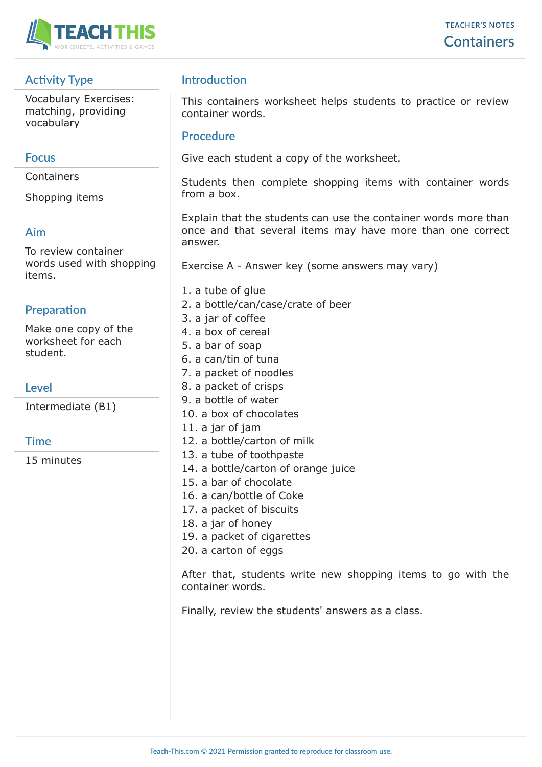

# **Activity Type**

Vocabulary Exercises: matching, providing vocabulary

#### **Focus**

Containers

Shopping items

## **Aim**

To review container words used with shopping items.

## **Preparation**

Make one copy of the worksheet for each student.

## **Level**

Intermediate (B1)

## **Time**

15 minutes

# **Introduction**

This containers worksheet helps students to practice or review container words.

#### **Procedure**

Give each student a copy of the worksheet.

Students then complete shopping items with container words from a box.

Explain that the students can use the container words more than once and that several items may have more than one correct answer.

Exercise A - Answer key (some answers may vary)

- 1. a tube of glue
- 2. a bottle/can/case/crate of beer
- 3. a jar of coffee
- 4. a box of cereal
- 5. a bar of soap
- 6. a can/tin of tuna
- 7. a packet of noodles
- 8. a packet of crisps
- 9. a bottle of water
- 10. a box of chocolates
- 11. a jar of jam
- 12. a bottle/carton of milk
- 13. a tube of toothpaste
- 14. a bottle/carton of orange juice
- 15. a bar of chocolate
- 16. a can/bottle of Coke
- 17. a packet of biscuits
- 18. a jar of honey
- 19. a packet of cigarettes
- 20. a carton of eggs

After that, students write new shopping items to go with the container words.

Finally, review the students' answers as a class.